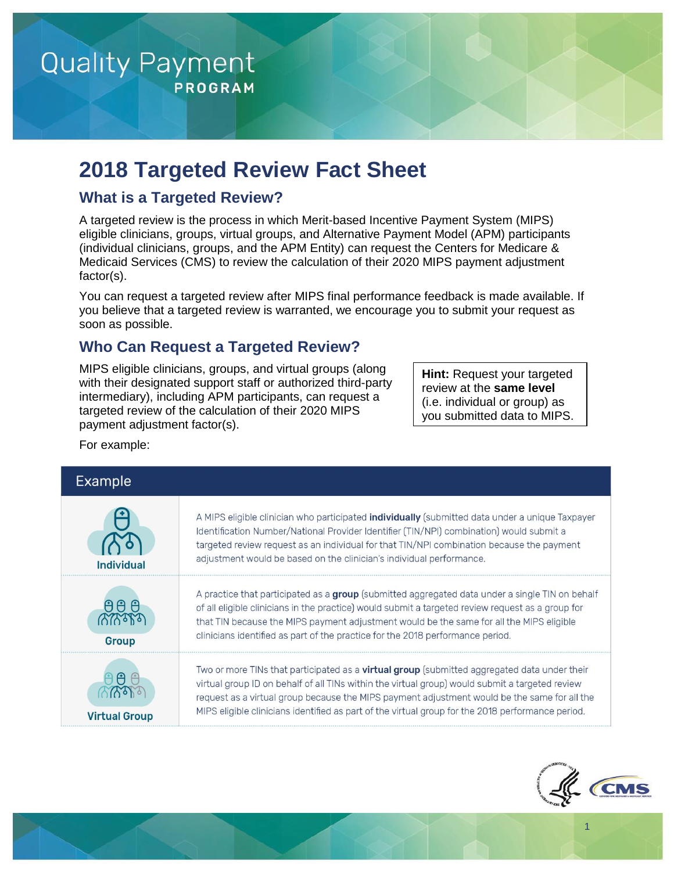

# **2018 Targeted Review Fact Sheet**

### **What is a Targeted Review?**

A targeted review is the process in which Merit-based Incentive Payment System (MIPS) eligible clinicians, groups, virtual groups, and Alternative Payment Model (APM) participants (individual clinicians, groups, and the APM Entity) can request the Centers for Medicare & Medicaid Services (CMS) to review the calculation of their 2020 MIPS payment adjustment factor(s).

You can request a targeted review after MIPS final performance feedback is made available. If you believe that a targeted review is warranted, we encourage you to submit your request as soon as possible.

#### **Who Can Request a Targeted Review?**

MIPS eligible clinicians, groups, and virtual groups (along with their designated support staff or authorized third-party intermediary), including APM participants, can request a targeted review of the calculation of their 2020 MIPS payment adjustment factor(s).

**Hint:** Request your targeted review at the **same level** (i.e. individual or group) as you submitted data to MIPS.

For example:

# Example

| Individua            | A MIPS eligible clinician who participated <b>individually</b> (submitted data under a unique Taxpayer<br>Identification Number/National Provider Identifier (TIN/NPI) combination) would submit a<br>targeted review request as an individual for that TIN/NPI combination because the payment<br>adjustment would be based on the clinician's individual performance.                                     |
|----------------------|-------------------------------------------------------------------------------------------------------------------------------------------------------------------------------------------------------------------------------------------------------------------------------------------------------------------------------------------------------------------------------------------------------------|
| <b>Group</b>         | A practice that participated as a group (submitted aggregated data under a single TIN on behalf<br>of all eligible clinicians in the practice) would submit a targeted review request as a group for<br>that TIN because the MIPS payment adjustment would be the same for all the MIPS eligible<br>clinicians identified as part of the practice for the 2018 performance period.                          |
| <b>Virtual Group</b> | Two or more TINs that participated as a <b>virtual group</b> (submitted aggregated data under their<br>virtual group ID on behalf of all TINs within the virtual group) would submit a targeted review<br>request as a virtual group because the MIPS payment adjustment would be the same for all the<br>MIPS eligible clinicians identified as part of the virtual group for the 2018 performance period. |



1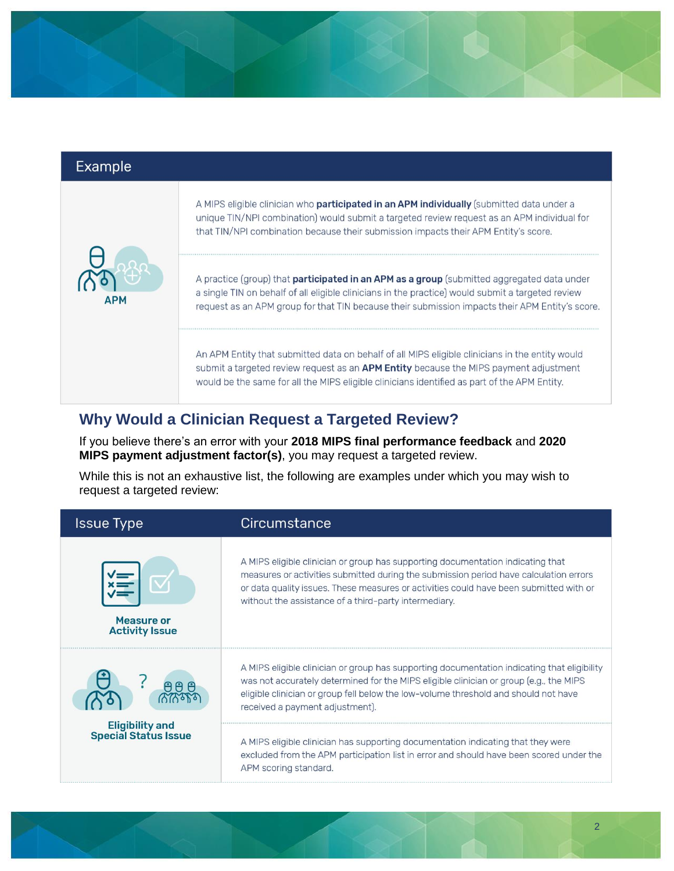|     | A MIPS eligible clinician who <b>participated in an APM individually</b> (submitted data under a<br>unique TIN/NPI combination) would submit a targeted review request as an APM individual for<br>that TIN/NPI combination because their submission impacts their APM Entity's score.   |
|-----|------------------------------------------------------------------------------------------------------------------------------------------------------------------------------------------------------------------------------------------------------------------------------------------|
|     | A practice (group) that <b>participated in an APM as a group</b> (submitted aggregated data under                                                                                                                                                                                        |
| ΔPM | a single TIN on behalf of all eligible clinicians in the practice) would submit a targeted review<br>request as an APM group for that TIN because their submission impacts their APM Entity's score.                                                                                     |
|     | An APM Entity that submitted data on behalf of all MIPS eligible clinicians in the entity would<br>submit a targeted review request as an APM Entity because the MIPS payment adjustment<br>would be the same for all the MIPS eligible clinicians identified as part of the APM Entity. |

# **Why Would a Clinician Request a Targeted Review?**

If you believe there's an error with your **2018 MIPS final performance feedback** and **2020 MIPS payment adjustment factor(s)**, you may request a targeted review.

While this is not an exhaustive list, the following are examples under which you may wish to request a targeted review:

| <b>Issue Type</b>                                     | Circumstance                                                                                                                                                                                                                                                                                                                |
|-------------------------------------------------------|-----------------------------------------------------------------------------------------------------------------------------------------------------------------------------------------------------------------------------------------------------------------------------------------------------------------------------|
| <b>Measure or</b><br><b>Activity Issue</b>            | A MIPS eligible clinician or group has supporting documentation indicating that<br>measures or activities submitted during the submission period have calculation errors<br>or data quality issues. These measures or activities could have been submitted with or<br>without the assistance of a third-party intermediary. |
| ല                                                     | A MIPS eligible clinician or group has supporting documentation indicating that eligibility<br>was not accurately determined for the MIPS eligible clinician or group (e.g., the MIPS<br>eligible clinician or group fell below the low-volume threshold and should not have<br>received a payment adjustment).             |
| <b>Eligibility and</b><br><b>Special Status Issue</b> | A MIPS eligible clinician has supporting documentation indicating that they were<br>excluded from the APM participation list in error and should have been scored under the<br>APM scoring standard.                                                                                                                        |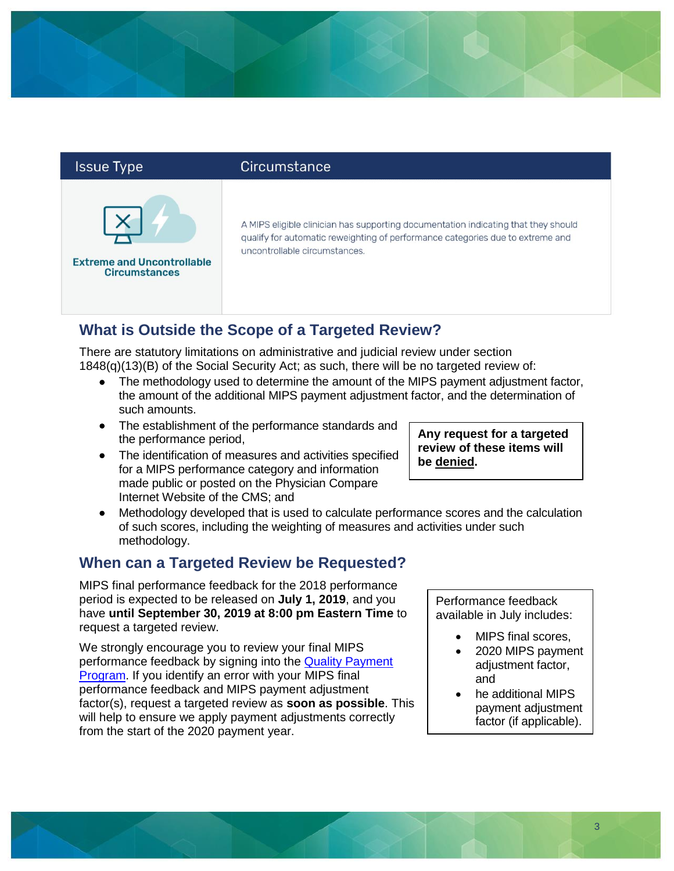#### **Issue Type**



#### Circumstance

A MIPS eligible clinician has supporting documentation indicating that they should qualify for automatic reweighting of performance categories due to extreme and uncontrollable circumstances.

# **What is Outside the Scope of a Targeted Review?**

There are statutory limitations on administrative and judicial review under section 1848(q)(13)(B) of the Social Security Act; as such, there will be no targeted review of:

- The methodology used to determine the amount of the MIPS payment adjustment factor, the amount of the additional MIPS payment adjustment factor, and the determination of such amounts.
- The establishment of the performance standards and the performance period,
- The identification of measures and activities specified for a MIPS performance category and information made public or posted on the Physician Compare Internet Website of the CMS; and
- Methodology developed that is used to calculate performance scores and the calculation of such scores, including the weighting of measures and activities under such methodology.

# **When can a Targeted Review be Requested?**

MIPS final performance feedback for the 2018 performance period is expected to be released on **July 1, 2019**, and you have **until September 30, 2019 at 8:00 pm Eastern Time** to request a targeted review.

We strongly encourage you to review your final MIPS performance feedback by signing into the [Quality Payment](https://qpp.cms.gov/login)  [Program.](https://qpp.cms.gov/login) If you identify an error with your MIPS final performance feedback and MIPS payment adjustment factor(s), request a targeted review as **soon as possible**. This will help to ensure we apply payment adjustments correctly from the start of the 2020 payment year.

**Any request for a targeted review of these items will be denied.**

> Performance feedback available in July includes:

- MIPS final scores,
- 2020 MIPS payment adjustment factor, and
- he additional MIPS payment adjustment factor (if applicable).

3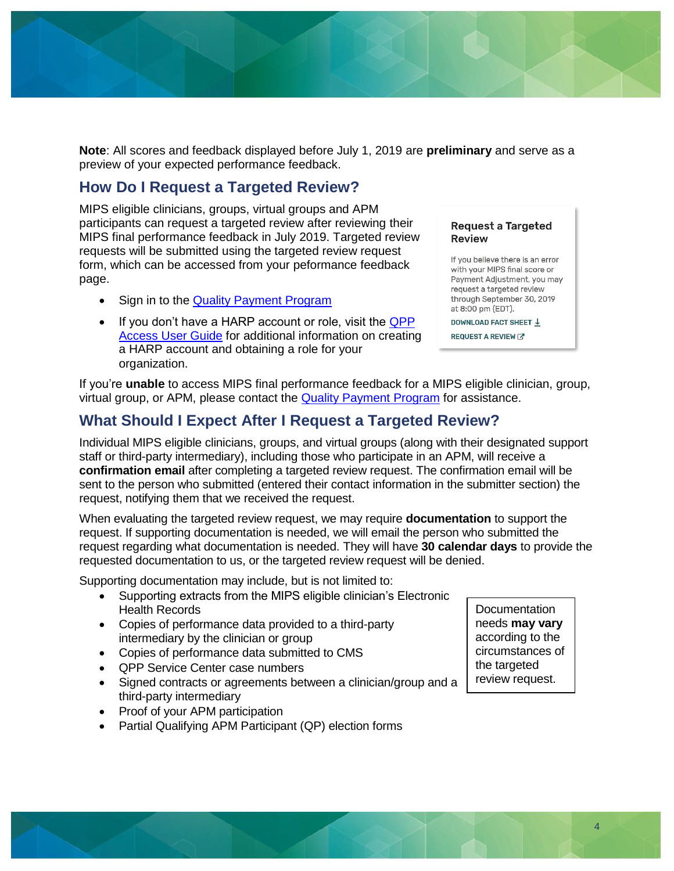

**Note**: All scores and feedback displayed before July 1, 2019 are **preliminary** and serve as a preview of your expected performance feedback.

## **How Do I Request a Targeted Review?**

MIPS eligible clinicians, groups, virtual groups and APM participants can request a targeted review after reviewing their MIPS final performance feedback in July 2019. Targeted review requests will be submitted using the targeted review request form, which can be accessed from your peformance feedback page.

- Sign in to the [Quality Payment Program](https://qpp.cms.gov/login)
- If you don't have a HARP account or role, visit the QPP [Access User Guide](https://qpp-cm-prod-content.s3.amazonaws.com/uploads/335/2018%20QPP%20Access%20User%20Guide.zip) for additional information on creating a HARP account and obtaining a role for your organization.

#### Request a Targeted **Review**

If you believe there is an error with your MIPS final score or Payment Adjustment, you may request a targeted review through September 30, 2019 at 8:00 pm (EDT).

DOWNLOAD FACT SHEET \

**REQUEST A REVIEW** 

If you're **unable** to access MIPS final performance feedback for a MIPS eligible clinician, group, virtual group, or APM, please contact the [Quality Payment Program](https://qpp.cms.gov/about/help-and-support#qpp-service-center) for assistance.

### **What Should I Expect After I Request a Targeted Review?**

Individual MIPS eligible clinicians, groups, and virtual groups (along with their designated support staff or third-party intermediary), including those who participate in an APM, will receive a **confirmation email** after completing a targeted review request. The confirmation email will be sent to the person who submitted (entered their contact information in the submitter section) the request, notifying them that we received the request.

When evaluating the targeted review request, we may require **documentation** to support the request. If supporting documentation is needed, we will email the person who submitted the request regarding what documentation is needed. They will have **30 calendar days** to provide the requested documentation to us, or the targeted review request will be denied.

Supporting documentation may include, but is not limited to:

- Supporting extracts from the MIPS eligible clinician's Electronic Health Records
- Copies of performance data provided to a third-party intermediary by the clinician or group
- Copies of performance data submitted to CMS
- QPP Service Center case numbers
- Signed contracts or agreements between a clinician/group and a third-party intermediary
- Proof of your APM participation
- Partial Qualifying APM Participant (QP) election forms

Documentation needs **may vary** according to the circumstances of the targeted review request.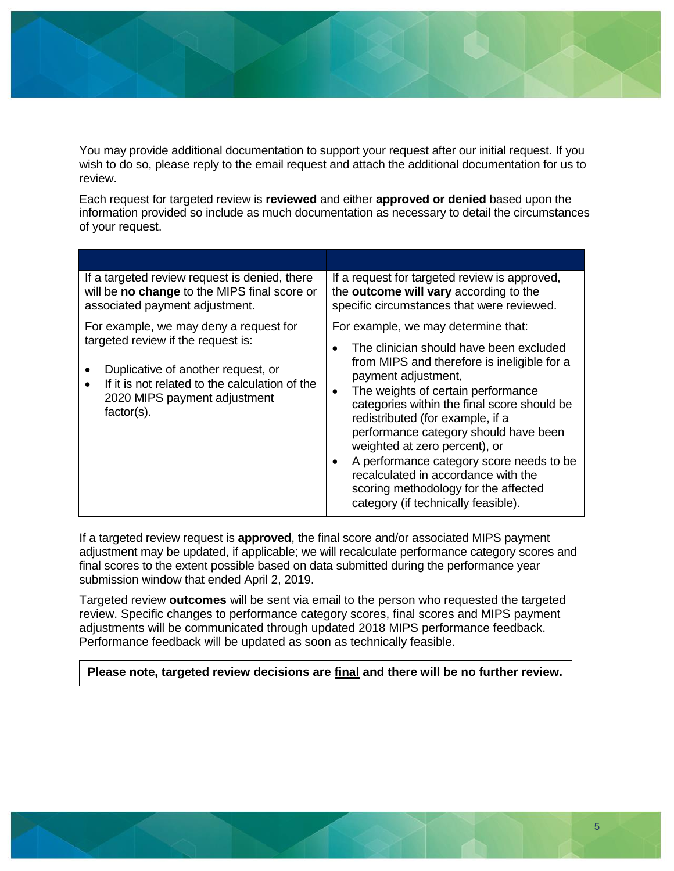You may provide additional documentation to support your request after our initial request. If you wish to do so, please reply to the email request and attach the additional documentation for us to

review.

Each request for targeted review is **reviewed** and either **approved or denied** based upon the information provided so include as much documentation as necessary to detail the circumstances of your request.

| If a targeted review request is denied, there<br>will be no change to the MIPS final score or<br>associated payment adjustment.                                                                                       | If a request for targeted review is approved,<br>the outcome will vary according to the<br>specific circumstances that were reviewed.                                                                                                                                                                                                                                                                                                                                                                                                  |
|-----------------------------------------------------------------------------------------------------------------------------------------------------------------------------------------------------------------------|----------------------------------------------------------------------------------------------------------------------------------------------------------------------------------------------------------------------------------------------------------------------------------------------------------------------------------------------------------------------------------------------------------------------------------------------------------------------------------------------------------------------------------------|
| For example, we may deny a request for<br>targeted review if the request is:<br>Duplicative of another request, or<br>If it is not related to the calculation of the<br>2020 MIPS payment adjustment<br>$factor(s)$ . | For example, we may determine that:<br>The clinician should have been excluded<br>from MIPS and therefore is ineligible for a<br>payment adjustment,<br>The weights of certain performance<br>$\bullet$<br>categories within the final score should be<br>redistributed (for example, if a<br>performance category should have been<br>weighted at zero percent), or<br>A performance category score needs to be<br>recalculated in accordance with the<br>scoring methodology for the affected<br>category (if technically feasible). |

If a targeted review request is **approved**, the final score and/or associated MIPS payment adjustment may be updated, if applicable; we will recalculate performance category scores and final scores to the extent possible based on data submitted during the performance year submission window that ended April 2, 2019.

Targeted review **outcomes** will be sent via email to the person who requested the targeted review. Specific changes to performance category scores, final scores and MIPS payment adjustments will be communicated through updated 2018 MIPS performance feedback. Performance feedback will be updated as soon as technically feasible.

**Please note, targeted review decisions are final and there will be no further review.**